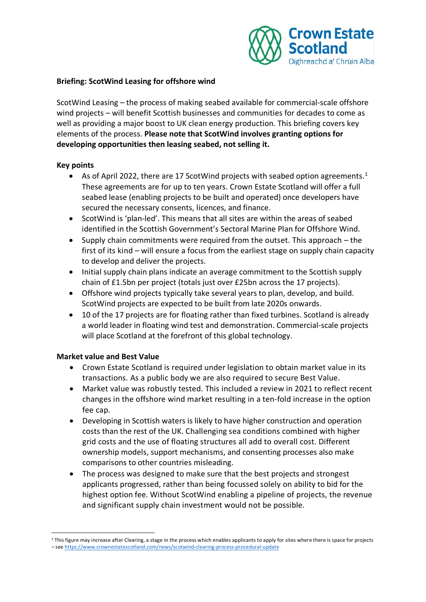

### **Briefing: ScotWind Leasing for offshore wind**

ScotWind Leasing – the process of making seabed available for commercial-scale offshore wind projects – will benefit Scottish businesses and communities for decades to come as well as providing a major boost to UK clean energy production. This briefing covers key elements of the process. **Please note that ScotWind involves granting options for developing opportunities then leasing seabed, not selling it.**

## **Key points**

- As of April 2022, there are [1](#page-0-0)7 ScotWind projects with seabed option agreements.<sup>1</sup> These agreements are for up to ten years. Crown Estate Scotland will offer a full seabed lease (enabling projects to be built and operated) once developers have secured the necessary consents, licences, and finance.
- ScotWind is 'plan-led'. This means that all sites are within the areas of seabed identified in the Scottish Government's Sectoral Marine Plan for Offshore Wind.
- Supply chain commitments were required from the outset. This approach the first of its kind – will ensure a focus from the earliest stage on supply chain capacity to develop and deliver the projects.
- Initial supply chain plans indicate an average commitment to the Scottish supply chain of £1.5bn per project (totals just over £25bn across the 17 projects).
- Offshore wind projects typically take several years to plan, develop, and build. ScotWind projects are expected to be built from late 2020s onwards.
- 10 of the 17 projects are for floating rather than fixed turbines. Scotland is already a world leader in floating wind test and demonstration. Commercial-scale projects will place Scotland at the forefront of this global technology.

# **Market value and Best Value**

- Crown Estate Scotland is required under legislation to obtain market value in its transactions. As a public body we are also required to secure Best Value.
- Market value was robustly tested. This included a review in 2021 to reflect recent changes in the offshore wind market resulting in a ten-fold increase in the option fee cap.
- Developing in Scottish waters is likely to have higher construction and operation costs than the rest of the UK. Challenging sea conditions combined with higher grid costs and the use of floating structures all add to overall cost. Different ownership models, support mechanisms, and consenting processes also make comparisons to other countries misleading.
- The process was designed to make sure that the best projects and strongest applicants progressed, rather than being focussed solely on ability to bid for the highest option fee. Without ScotWind enabling a pipeline of projects, the revenue and significant supply chain investment would not be possible.

<span id="page-0-0"></span><sup>&</sup>lt;sup>1</sup> This figure may increase after Clearing, a stage in the process which enables applicants to apply for sites where there is space for projects – see <https://www.crownestatescotland.com/news/scotwind-clearing-process-procedural-update>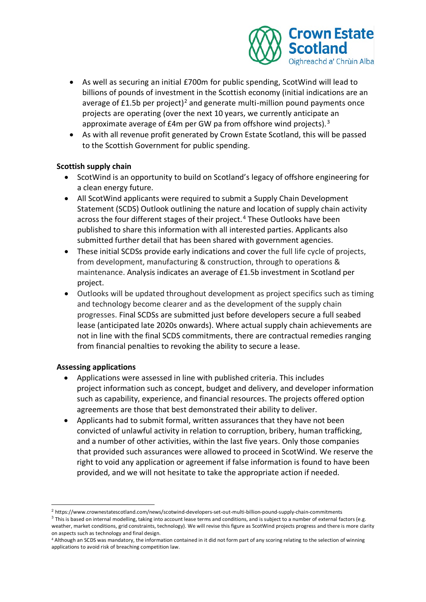

- As well as securing an initial £700m for public spending, ScotWind will lead to billions of pounds of investment in the Scottish economy (initial indications are an average of  $£1.5b$  per project)<sup>[2](#page-1-0)</sup> and generate multi-million pound payments once projects are operating (over the next 10 years, we currently anticipate an approximate average of  $£4m$  per GW pa from offshore wind projects).<sup>[3](#page-1-1)</sup>
- As with all revenue profit generated by Crown Estate Scotland, this will be passed to the Scottish Government for public spending.

## **Scottish supply chain**

- ScotWind is an opportunity to build on Scotland's legacy of offshore engineering for a clean energy future.
- All ScotWind applicants were required to submit a Supply Chain Development Statement (SCDS) Outlook outlining the nature and location of supply chain activity across the four different stages of their project. [4](#page-1-2) These Outlooks have been published to share this information with all interested parties. Applicants also submitted further detail that has been shared with government agencies.
- These initial SCDSs provide early indications and cover the full life cycle of projects, from development, manufacturing & construction, through to operations & maintenance. Analysis indicates an average of £1.5b investment in Scotland per project.
- Outlooks will be updated throughout development as project specifics such as timing and technology become clearer and as the development of the supply chain progresses. Final SCDSs are submitted just before developers secure a full seabed lease (anticipated late 2020s onwards). Where actual supply chain achievements are not in line with the final SCDS commitments, there are contractual remedies ranging from financial penalties to revoking the ability to secure a lease.

# **Assessing applications**

- Applications were assessed in line with published criteria. This includes project information such as concept, budget and delivery, and developer information such as capability, experience, and financial resources. The projects offered option agreements are those that best demonstrated their ability to deliver.
- Applicants had to submit formal, written assurances that they have not been convicted of unlawful activity in relation to corruption, bribery, human trafficking, and a number of other activities, within the last five years. Only those companies that provided such assurances were allowed to proceed in ScotWind. We reserve the right to void any application or agreement if false information is found to have been provided, and we will not hesitate to take the appropriate action if needed.

<span id="page-1-0"></span><sup>2</sup> https://www.crownestatescotland.com/news/scotwind-developers-set-out-multi-billion-pound-supply-chain-commitments

<span id="page-1-1"></span> $3$  This is based on internal modelling, taking into account lease terms and conditions, and is subject to a number of external factors (e.g. weather, market conditions, grid constraints, technology). We will revise this figure as ScotWind projects progress and there is more clarity on aspects such as technology and final design.

<span id="page-1-2"></span><sup>4</sup> Although an SCDS was mandatory, the information contained in it did not form part of any scoring relating to the selection of winning applications to avoid risk of breaching competition law.